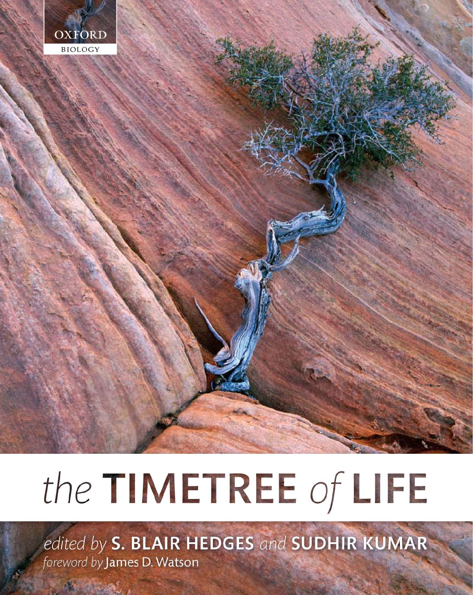

# the TIMETREE of LIFE

edited by S. BLAIR HEDGES and SUDHIR KUMAR foreword by James D. Watson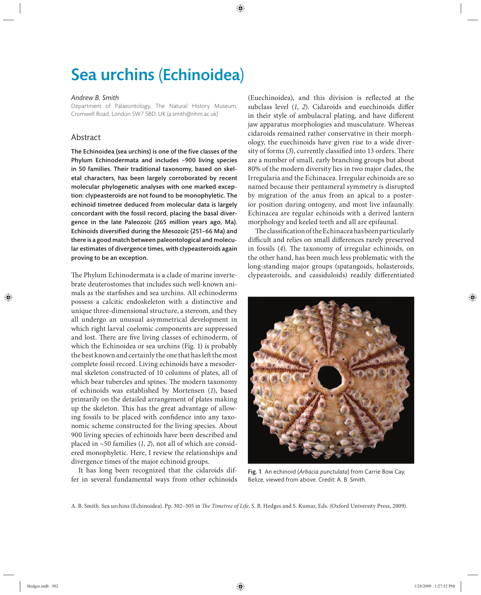## Sea urchins (Echinoidea)

#### *Andrew B. Smith*

Department of Palaeontology, The Natural History Museum, Cromwell Road, London SW7 5BD, UK (a.smith@nhm.ac.uk)

#### Abstract

The Echinoidea (sea urchins) is one of the five classes of the Phylum Echinodermata and includes  $~900$  living species in 50 families. Their traditional taxonomy, based on skeletal characters, has been largely corroborated by recent molecular phylogenetic analyses with one marked exception: clypeasteroids are not found to be monophyletic. The echinoid timetree deduced from molecular data is largely concordant with the fossil record, placing the basal divergence in the late Paleozoic (265 million years ago, Ma). Echinoids diversified during the Mesozoic (251-66 Ma) and there is a good match between paleontological and molecular estimates of divergence times, with clypeasteroids again proving to be an exception.

The Phylum Echinodermata is a clade of marine invertebrate deuterostomes that includes such well-known animals as the starfishes and sea urchins. All echinoderms possess a calcitic endoskeleton with a distinctive and unique three-dimensional structure, a stereom, and they all undergo an unusual asymmetrical development in which right larval coelomic components are suppressed and lost. There are five living classes of echinoderm, of which the Echinoidea or sea urchins (Fig. 1) is probably the best known and certainly the one that has left the most complete fossil record. Living echinoids have a mesodermal skeleton constructed of 10 columns of plates, all of which bear tubercles and spines. The modern taxonomy of echinoids was established by Mortensen (*1*), based primarily on the detailed arrangement of plates making up the skeleton. This has the great advantage of allowing fossils to be placed with confidence into any taxonomic scheme constructed for the living species. About 900 living species of echinoids have been described and placed in ~50 families (*1*, *2*), not all of which are considered monophyletic. Here, I review the relationships and divergence times of the major echinoid groups.

It has long been recognized that the cidaroids differ in several fundamental ways from other echinoids (Euechinoidea), and this division is reflected at the subclass level (1, 2). Cidaroids and euechinoids differ in their style of ambulacral plating, and have different jaw apparatus morphologies and musculature. Whereas cidaroids remained rather conservative in their morphology, the euechinoids have given rise to a wide diversity of forms (3), currently classified into 13 orders. There are a number of small, early branching groups but about 80% of the modern diversity lies in two major clades, the Irregularia and the Echinacea. Irregular echinoids are so named because their pentameral symmetry is disrupted by migration of the anus from an apical to a posterior position during ontogeny, and most live infaunally. Echinacea are regular echinoids with a derived lantern morphology and keeled teeth and all are epifaunal.

The classification of the Echinacea has been particularly difficult and relies on small differences rarely preserved in fossils (4). The taxonomy of irregular echinoids, on the other hand, has been much less problematic with the long-standing major groups (spatangoids, holasteroids, clypeasteroids, and cassiduloids) readily differentiated



Fig. 1 An echinoid (*Arbacia punctulata*) from Carrie Bow Cay, Belize, viewed from above. Credit: A. B. Smith.

A. B. Smith. Sea urchins (Echinoidea). Pp. 302-305 in *The Timetree of Life*, S. B. Hedges and S. Kumar, Eds. (Oxford University Press, 2009).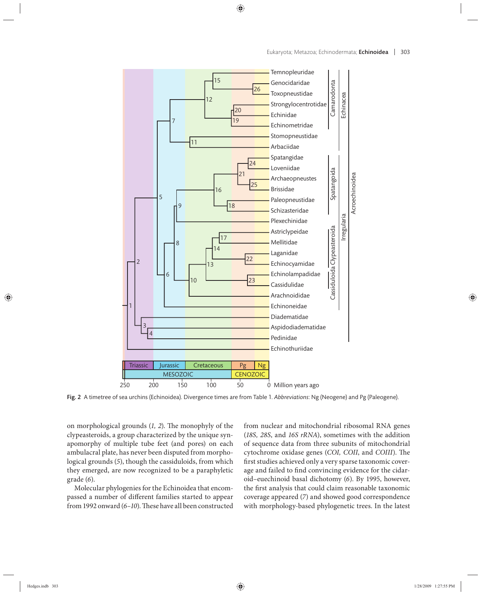

Fig. 2 A timetree of sea urchins (Echinoidea). Divergence times are from Table 1. *Abbreviations*: Ng (Neogene) and Pg (Paleogene).

on morphological grounds (1, 2). The monophyly of the clypeasteroids, a group characterized by the unique synapomorphy of multiple tube feet (and pores) on each ambulacral plate, has never been disputed from morphological grounds (*5*), though the cassiduloids, from which they emerged, are now recognized to be a paraphyletic grade (*6*).

Molecular phylogenies for the Echinoidea that encompassed a number of different families started to appear from 1992 onward (6-10). These have all been constructed from nuclear and mitochondrial ribosomal RNA genes (*18S, 28S*, and *16S rRNA*), sometimes with the addition of sequence data from three subunits of mitochondrial cytochrome oxidase genes (COI, COII, and COIII). The first studies achieved only a very sparse taxonomic coverage and failed to find convincing evidence for the cidaroid–euechinoid basal dichotomy (*6*). By 1995, however, the first analysis that could claim reasonable taxonomic coverage appeared (*7*) and showed good correspondence with morphology-based phylogenetic trees. In the latest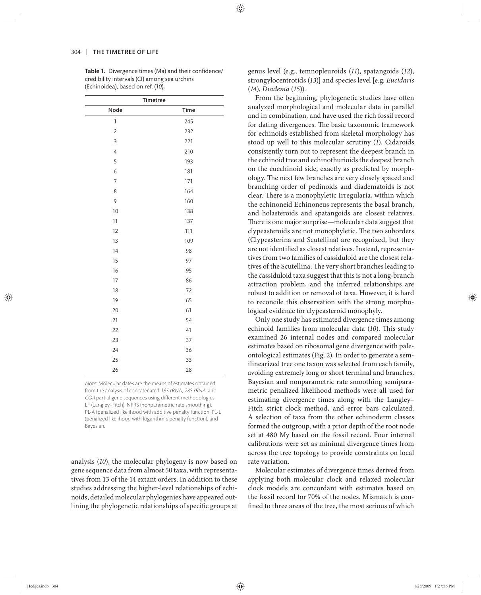Table 1. Divergence times (Ma) and their confidence/ credibility intervals (CI) among sea urchins (Echinoidea), based on ref. (*10*).

| <b>Timetree</b>          |      |
|--------------------------|------|
| Node                     | Time |
| $\mathbb{1}$             | 245  |
| $\overline{2}$           | 232  |
| 3                        | 221  |
| $\overline{\mathcal{A}}$ | 210  |
| 5                        | 193  |
| 6                        | 181  |
| $\overline{7}$           | 171  |
| 8                        | 164  |
| 9                        | 160  |
| 10                       | 138  |
| 11                       | 137  |
| 12                       | 111  |
| 13                       | 109  |
| 14                       | 98   |
| 15                       | 97   |
| 16                       | 95   |
| 17                       | 86   |
| 18                       | 72   |
| 19                       | 65   |
| 20                       | 61   |
| 21                       | 54   |
| 22                       | 41   |
| 23                       | 37   |
| 24                       | 36   |
| 25                       | 33   |
| 26                       | 28   |

Note: Molecular dates are the means of estimates obtained from the analysis of concatenated 18S rRNA, 28S rRNA, and COII partial gene sequences using different methodologies: LF (Langley–Fitch), NPRS (nonparametric rate smoothing), PL-A (penalized likelihood with additive penalty function, PL-L (penalized likelihood with logarithmic penalty function), and Bayesian.

analysis (*10*), the molecular phylogeny is now based on gene sequence data from almost 50 taxa, with representatives from 13 of the 14 extant orders. In addition to these studies addressing the higher-level relationships of echinoids, detailed molecular phylogenies have appeared outlining the phylogenetic relationships of specific groups at genus level (e.g., temnopleuroids (*11*), spatangoids (*12*), strongylocentrotids (*13*)] and species level [e.g. *Eucidaris* (*14*), *Diadema* (*15*)).

From the beginning, phylogenetic studies have often analyzed morphological and molecular data in parallel and in combination, and have used the rich fossil record for dating divergences. The basic taxonomic framework for echinoids established from skeletal morphology has stood up well to this molecular scrutiny (*1*). Cidaroids consistently turn out to represent the deepest branch in the echinoid tree and echinothurioids the deepest branch on the euechinoid side, exactly as predicted by morphology. The next few branches are very closely spaced and branching order of pedinoids and diadematoids is not clear. There is a monophyletic Irregularia, within which the echinoneid Echinoneus represents the basal branch, and holasteroids and spatangoids are closest relatives. There is one major surprise—molecular data suggest that clypeasteroids are not monophyletic. The two suborders (Clypeasterina and Scutellina) are recognized, but they are not identified as closest relatives. Instead, representatives from two families of cassiduloid are the closest relatives of the Scutellina. The very short branches leading to the cassiduloid taxa suggest that this is not a long-branch attraction problem, and the inferred relationships are robust to addition or removal of taxa. However, it is hard to reconcile this observation with the strong morphological evidence for clypeasteroid monophyly.

Only one study has estimated divergence times among echinoid families from molecular data (10). This study examined 26 internal nodes and compared molecular estimates based on ribosomal gene divergence with paleontological estimates (Fig. 2). In order to generate a semilinearized tree one taxon was selected from each family, avoiding extremely long or short terminal and branches. Bayesian and nonparametric rate smoothing semiparametric penalized likelihood methods were all used for estimating divergence times along with the Langley– Fitch strict clock method, and error bars calculated. A selection of taxa from the other echinoderm classes formed the outgroup, with a prior depth of the root node set at 480 My based on the fossil record. Four internal calibrations were set as minimal divergence times from across the tree topology to provide constraints on local rate variation.

Molecular estimates of divergence times derived from applying both molecular clock and relaxed molecular clock models are concordant with estimates based on the fossil record for 70% of the nodes. Mismatch is confined to three areas of the tree, the most serious of which